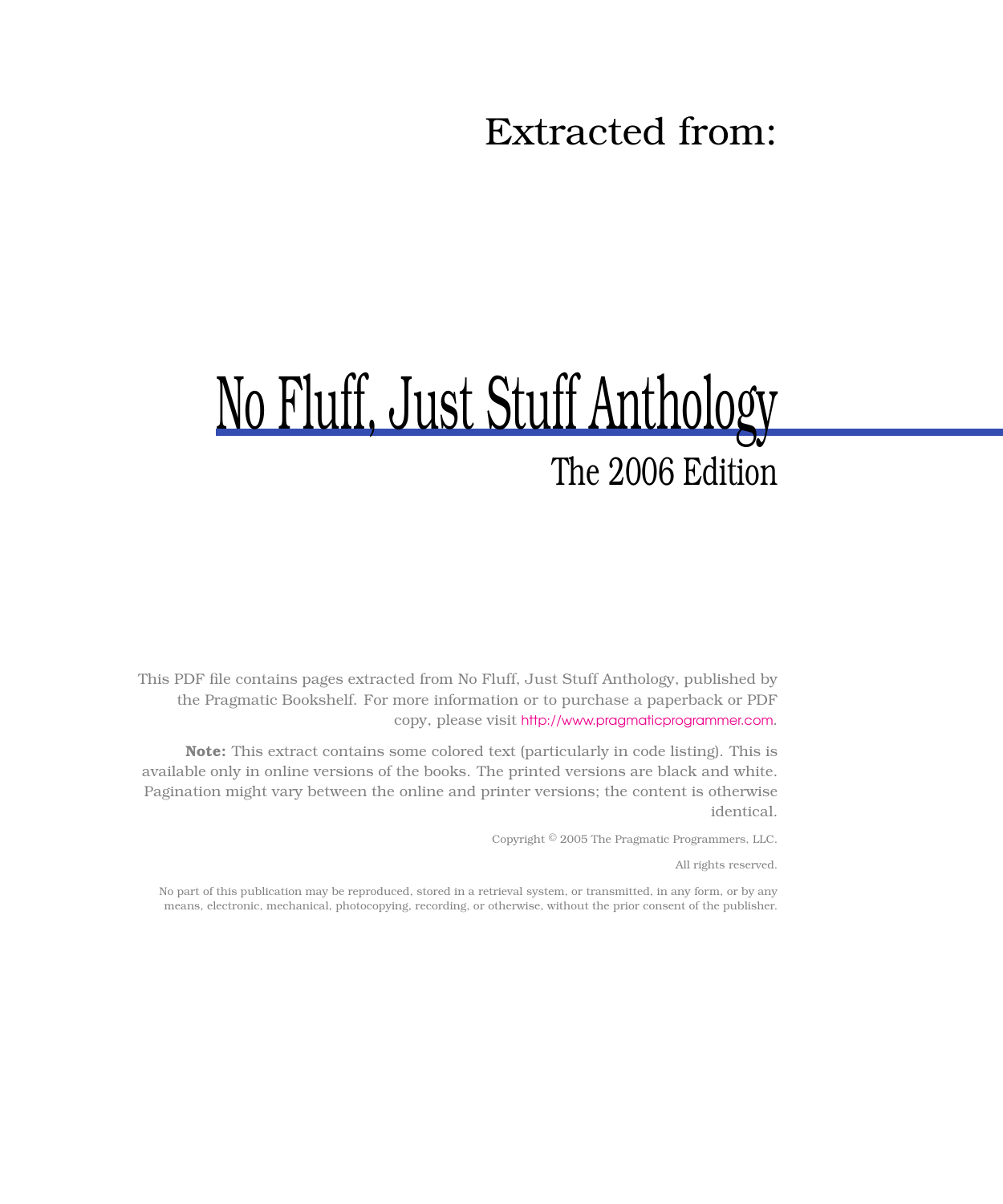### Extracted from:

### No Fluff, Just Stuff Anthology The 2006 Edition

This PDF file contains pages extracted from No Fluff, Just Stuff Anthology, published by the Pragmatic Bookshelf. For more information or to purchase a paperback or PDF copy, please visit <http://www.pragmaticprogrammer.com>.

**Note:** This extract contains some colored text (particularly in code listing). This is available only in online versions of the books. The printed versions are black and white. Pagination might vary between the online and printer versions; the content is otherwise identical.

Copyright © 2005 The Pragmatic Programmers, LLC.

All rights reserved.

No part of this publication may be reproduced, stored in a retrieval system, or transmitted, in any form, or by any means, electronic, mechanical, photocopying, recording, or otherwise, without the prior consent of the publisher.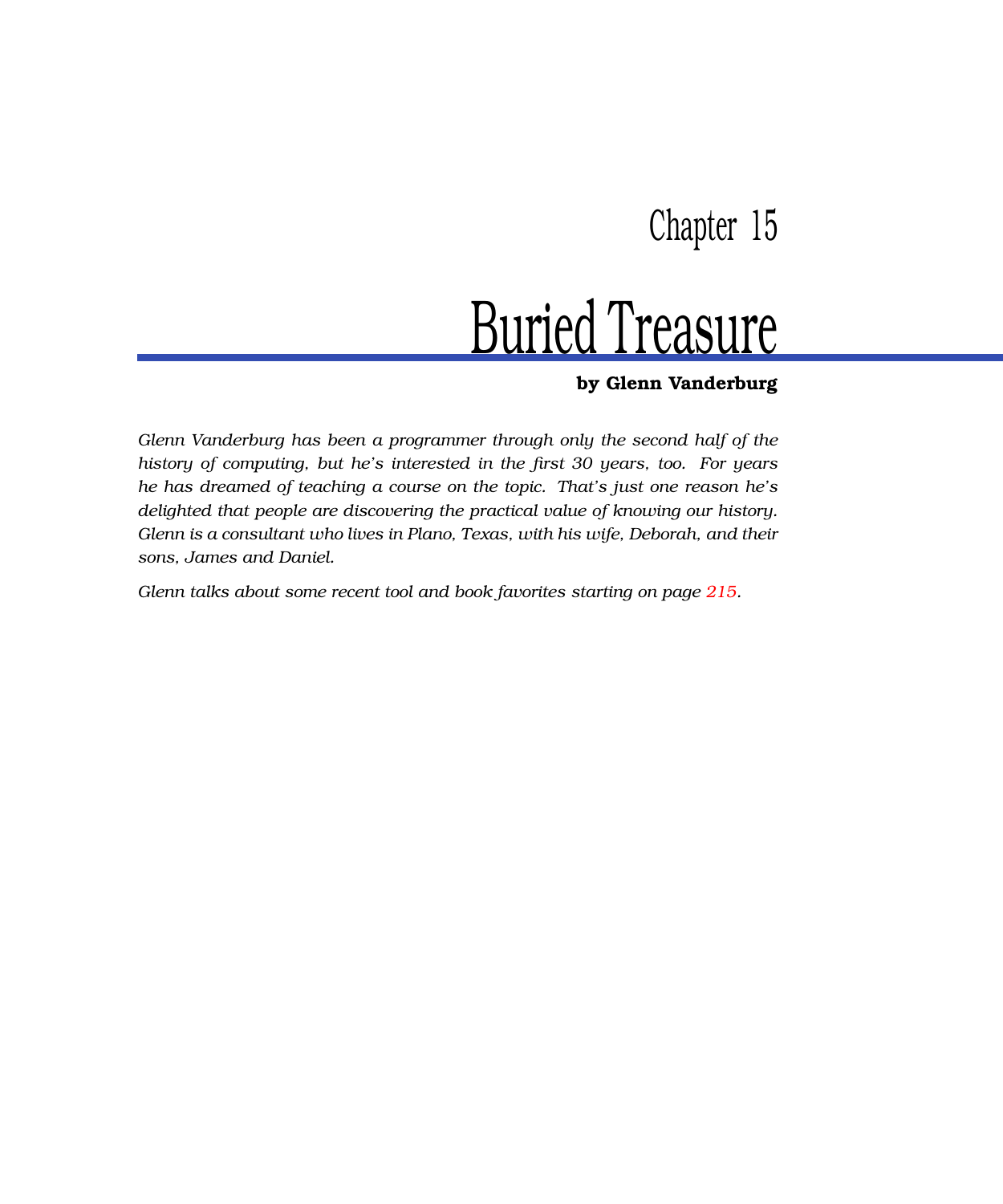### Chapter 15

## Buried Treasure

#### **by Glenn Vanderburg**

*Glenn Vanderburg has been a programmer through only the second half of the history of computing, but he's interested in the first 30 years, too. For years he has dreamed of teaching a course on the topic. That's just one reason he's delighted that people are discovering the practical value of knowing our history. Glenn is a consultant who lives in Plano, Texas, with his wife, Deborah, and their sons, James and Daniel.*

*Glenn talks about some recent tool and book favorites starting on page 215.*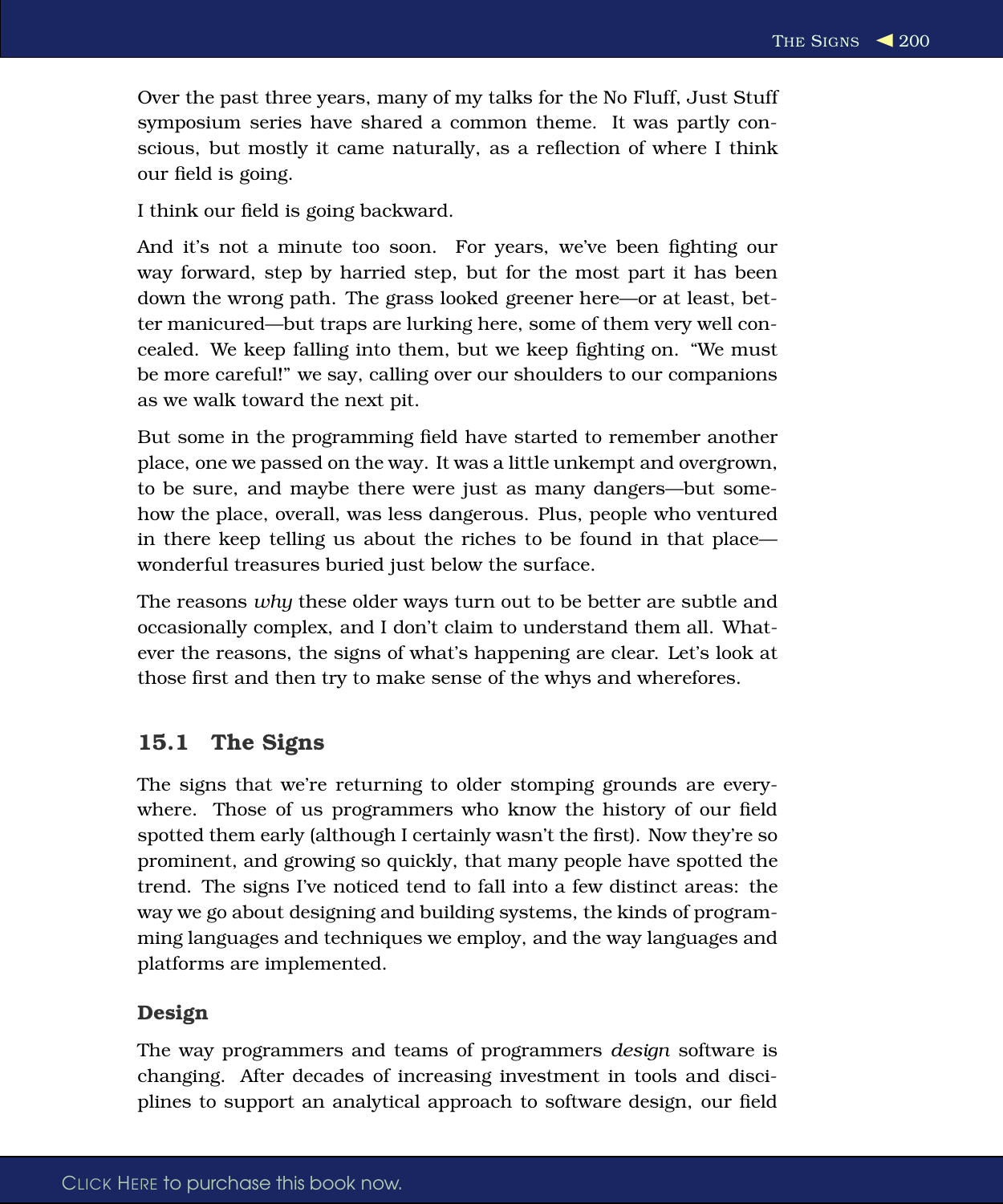Over the past three years, many of my talks for the No Fluff, Just Stuff symposium series have shared a common theme. It was partly conscious, but mostly it came naturally, as a reflection of where I think our field is going.

I think our field is going backward.

And it's not a minute too soon. For years, we've been fighting our way forward, step by harried step, but for the most part it has been down the wrong path. The grass looked greener here—or at least, better manicured—but traps are lurking here, some of them very well concealed. We keep falling into them, but we keep fighting on. "We must be more careful!" we say, calling over our shoulders to our companions as we walk toward the next pit.

But some in the programming field have started to remember another place, one we passed on the way. It was a little unkempt and overgrown, to be sure, and maybe there were just as many dangers—but somehow the place, overall, was less dangerous. Plus, people who ventured in there keep telling us about the riches to be found in that place wonderful treasures buried just below the surface.

The reasons *why* these older ways turn out to be better are subtle and occasionally complex, and I don't claim to understand them all. Whatever the reasons, the signs of what's happening are clear. Let's look at those first and then try to make sense of the whys and wherefores.

#### **15.1 The Signs**

The signs that we're returning to older stomping grounds are everywhere. Those of us programmers who know the history of our field spotted them early (although I certainly wasn't the first). Now they're so prominent, and growing so quickly, that many people have spotted the trend. The signs I've noticed tend to fall into a few distinct areas: the way we go about designing and building systems, the kinds of programming languages and techniques we employ, and the way languages and platforms are implemented.

#### **Design**

The way programmers and teams of programmers *design* software is changing. After decades of increasing investment in tools and disciplines to support an analytical approach to software design, our field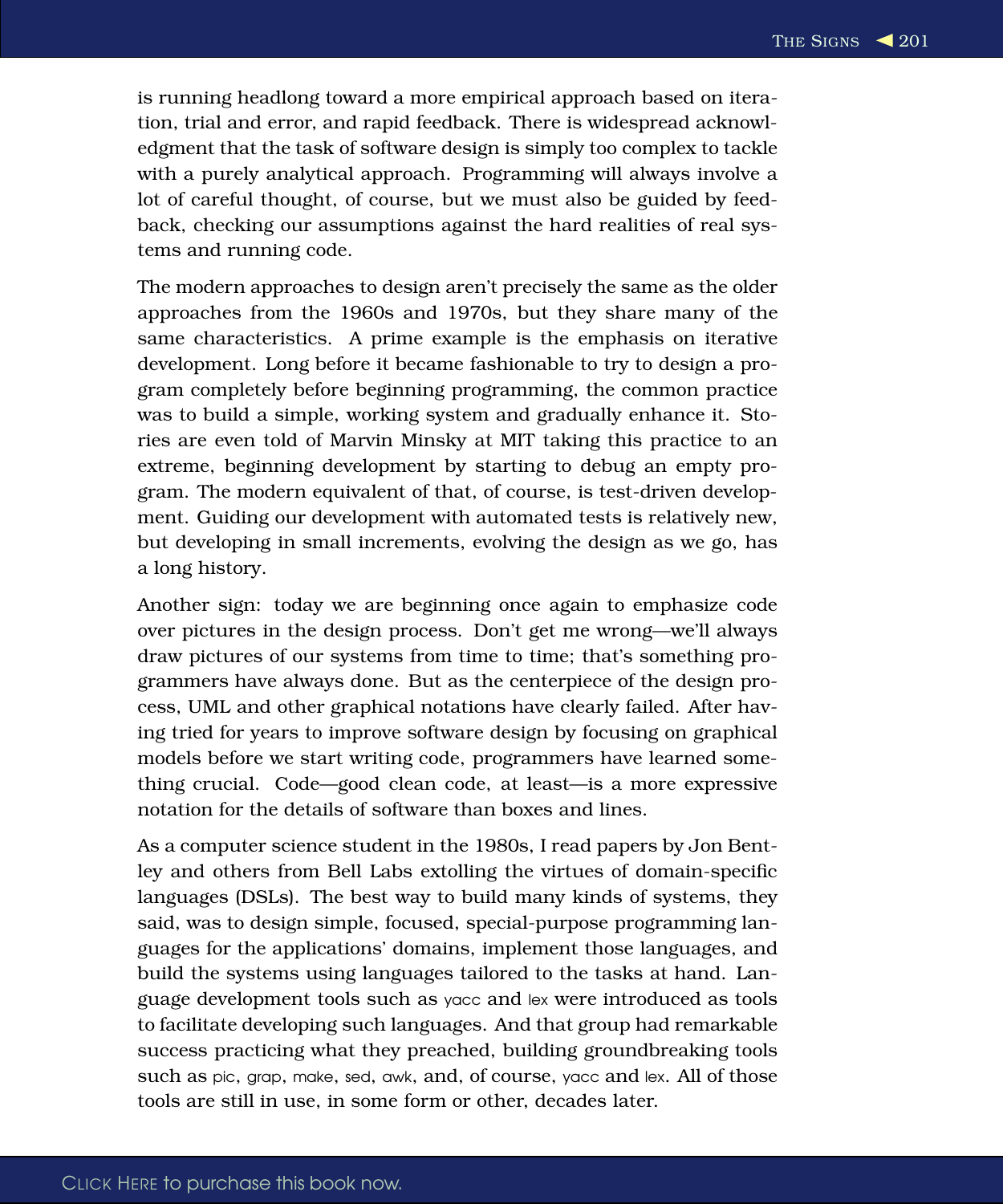is running headlong toward a more empirical approach based on iteration, trial and error, and rapid feedback. There is widespread acknowledgment that the task of software design is simply too complex to tackle with a purely analytical approach. Programming will always involve a lot of careful thought, of course, but we must also be guided by feedback, checking our assumptions against the hard realities of real systems and running code.

The modern approaches to design aren't precisely the same as the older approaches from the 1960s and 1970s, but they share many of the same characteristics. A prime example is the emphasis on iterative development. Long before it became fashionable to try to design a program completely before beginning programming, the common practice was to build a simple, working system and gradually enhance it. Stories are even told of Marvin Minsky at MIT taking this practice to an extreme, beginning development by starting to debug an empty program. The modern equivalent of that, of course, is test-driven development. Guiding our development with automated tests is relatively new, but developing in small increments, evolving the design as we go, has a long history.

Another sign: today we are beginning once again to emphasize code over pictures in the design process. Don't get me wrong—we'll always draw pictures of our systems from time to time; that's something programmers have always done. But as the centerpiece of the design process, UML and other graphical notations have clearly failed. After having tried for years to improve software design by focusing on graphical models before we start writing code, programmers have learned something crucial. Code—good clean code, at least—is a more expressive notation for the details of software than boxes and lines.

As a computer science student in the 1980s, I read papers by Jon Bentley and others from Bell Labs extolling the virtues of domain-specific languages (DSLs). The best way to build many kinds of systems, they said, was to design simple, focused, special-purpose programming languages for the applications' domains, implement those languages, and build the systems using languages tailored to the tasks at hand. Language development tools such as yacc and lex were introduced as tools to facilitate developing such languages. And that group had remarkable success practicing what they preached, building groundbreaking tools such as pic, grap, make, sed, awk, and, of course, yacc and lex. All of those tools are still in use, in some form or other, decades later.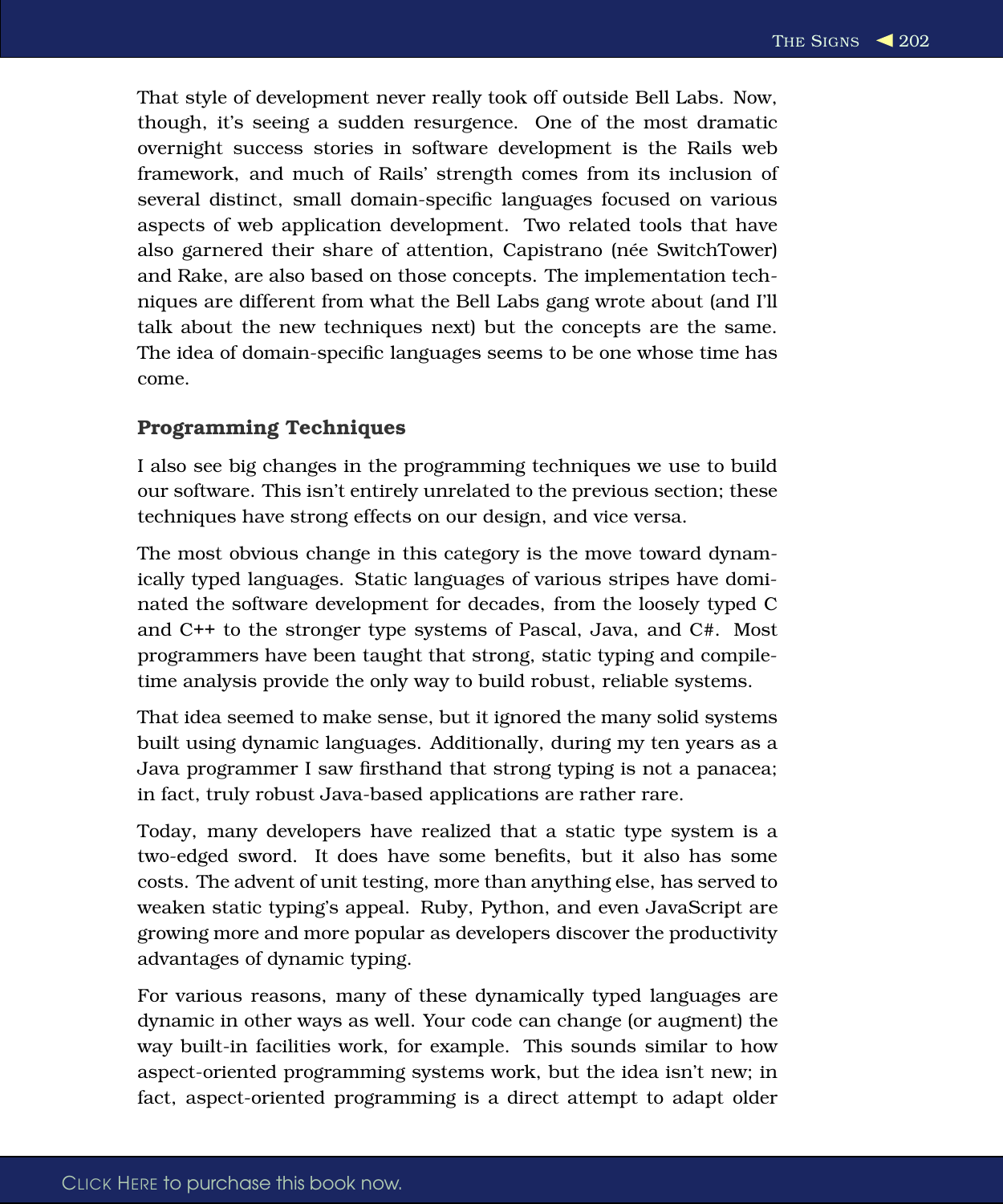That style of development never really took off outside Bell Labs. Now, though, it's seeing a sudden resurgence. One of the most dramatic overnight success stories in software development is the Rails web framework, and much of Rails' strength comes from its inclusion of several distinct, small domain-specific languages focused on various aspects of web application development. Two related tools that have also garnered their share of attention, Capistrano (née SwitchTower) and Rake, are also based on those concepts. The implementation techniques are different from what the Bell Labs gang wrote about (and I'll talk about the new techniques next) but the concepts are the same. The idea of domain-specific languages seems to be one whose time has come.

#### **Programming Techniques**

I also see big changes in the programming techniques we use to build our software. This isn't entirely unrelated to the previous section; these techniques have strong effects on our design, and vice versa.

The most obvious change in this category is the move toward dynamically typed languages. Static languages of various stripes have dominated the software development for decades, from the loosely typed C and C++ to the stronger type systems of Pascal, Java, and C#. Most programmers have been taught that strong, static typing and compiletime analysis provide the only way to build robust, reliable systems.

That idea seemed to make sense, but it ignored the many solid systems built using dynamic languages. Additionally, during my ten years as a Java programmer I saw firsthand that strong typing is not a panacea; in fact, truly robust Java-based applications are rather rare.

Today, many developers have realized that a static type system is a two-edged sword. It does have some benefits, but it also has some costs. The advent of unit testing, more than anything else, has served to weaken static typing's appeal. Ruby, Python, and even JavaScript are growing more and more popular as developers discover the productivity advantages of dynamic typing.

For various reasons, many of these dynamically typed languages are dynamic in other ways as well. Your code can change (or augment) the way built-in facilities work, for example. This sounds similar to how aspect-oriented programming systems work, but the idea isn't new; in fact, aspect-oriented programming is a direct attempt to adapt older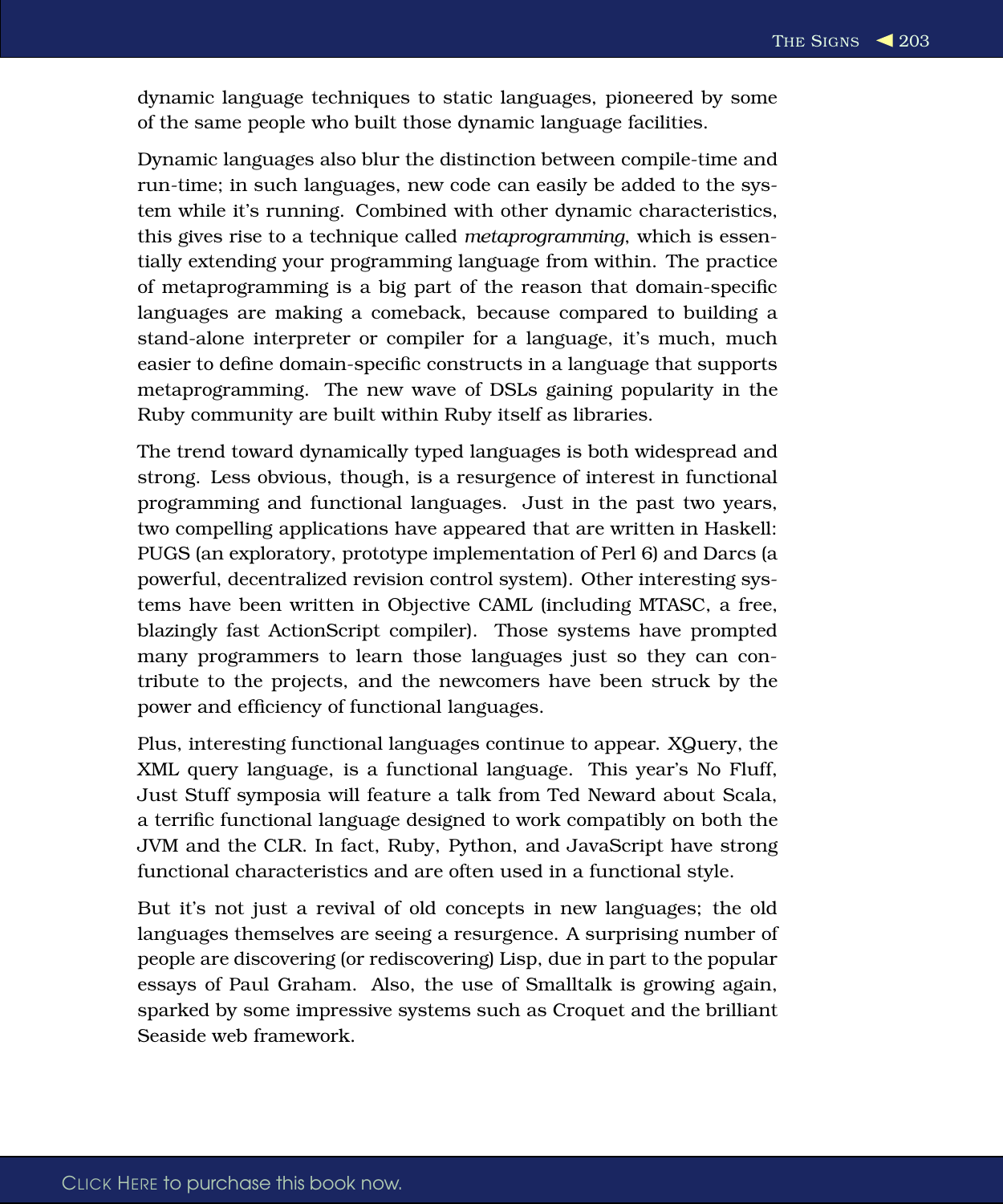dynamic language techniques to static languages, pioneered by some of the same people who built those dynamic language facilities.

Dynamic languages also blur the distinction between compile-time and run-time; in such languages, new code can easily be added to the system while it's running. Combined with other dynamic characteristics, this gives rise to a technique called *metaprogramming*, which is essentially extending your programming language from within. The practice of metaprogramming is a big part of the reason that domain-specific languages are making a comeback, because compared to building a stand-alone interpreter or compiler for a language, it's much, much easier to define domain-specific constructs in a language that supports metaprogramming. The new wave of DSLs gaining popularity in the Ruby community are built within Ruby itself as libraries.

The trend toward dynamically typed languages is both widespread and strong. Less obvious, though, is a resurgence of interest in functional programming and functional languages. Just in the past two years, two compelling applications have appeared that are written in Haskell: PUGS (an exploratory, prototype implementation of Perl 6) and Darcs (a powerful, decentralized revision control system). Other interesting systems have been written in Objective CAML (including MTASC, a free, blazingly fast ActionScript compiler). Those systems have prompted many programmers to learn those languages just so they can contribute to the projects, and the newcomers have been struck by the power and efficiency of functional languages.

Plus, interesting functional languages continue to appear. XQuery, the XML query language, is a functional language. This year's No Fluff, Just Stuff symposia will feature a talk from Ted Neward about Scala, a terrific functional language designed to work compatibly on both the JVM and the CLR. In fact, Ruby, Python, and JavaScript have strong functional characteristics and are often used in a functional style.

But it's not just a revival of old concepts in new languages; the old languages themselves are seeing a resurgence. A surprising number of people are discovering (or rediscovering) Lisp, due in part to the popular essays of Paul Graham. Also, the use of Smalltalk is growing again, sparked by some impressive systems such as Croquet and the brilliant Seaside web framework.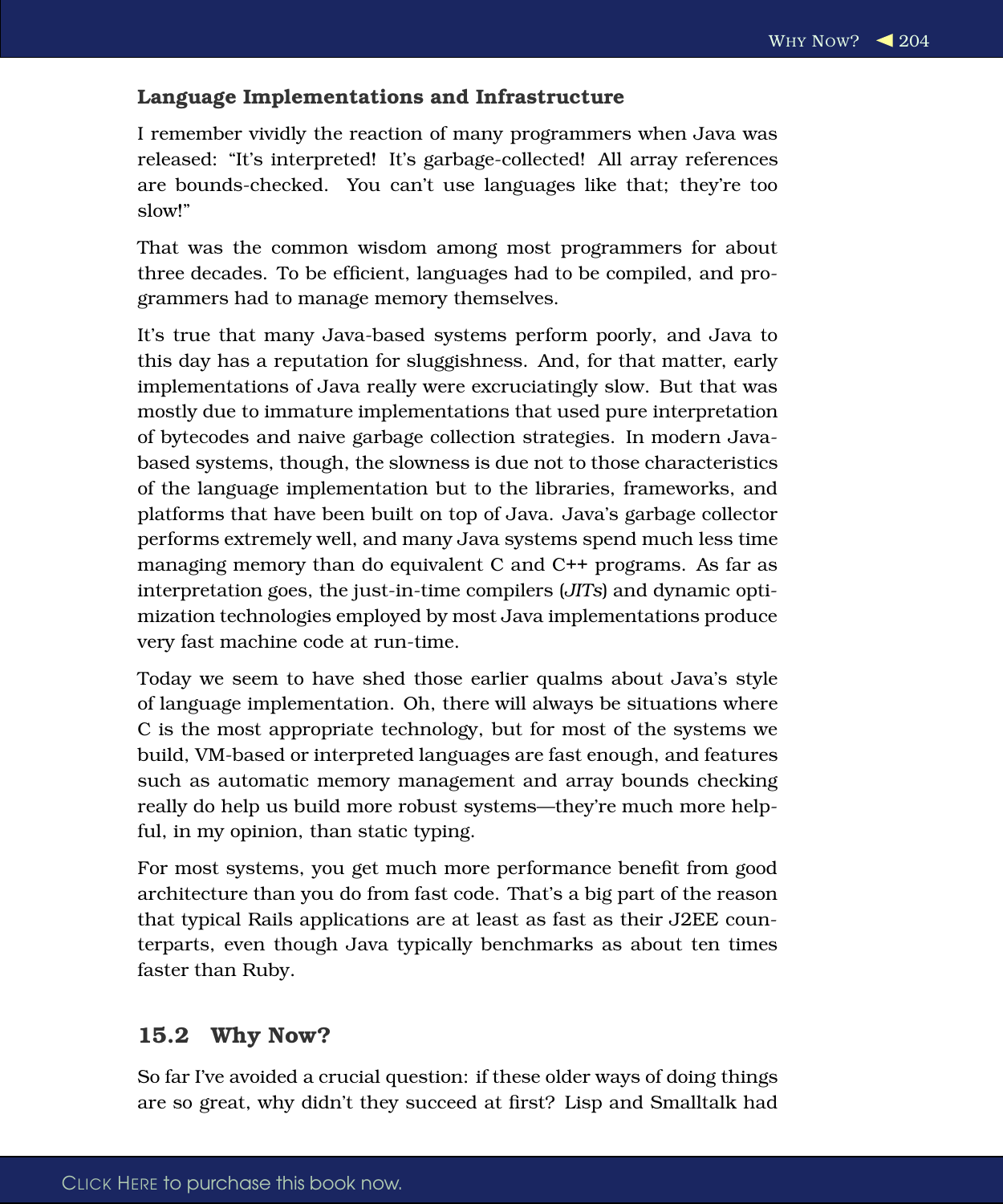#### **Language Implementations and Infrastructure**

I remember vividly the reaction of many programmers when Java was released: "It's interpreted! It's garbage-collected! All array references are bounds-checked. You can't use languages like that; they're too slow!"

That was the common wisdom among most programmers for about three decades. To be efficient, languages had to be compiled, and programmers had to manage memory themselves.

It's true that many Java-based systems perform poorly, and Java to this day has a reputation for sluggishness. And, for that matter, early implementations of Java really were excruciatingly slow. But that was mostly due to immature implementations that used pure interpretation of bytecodes and naive garbage collection strategies. In modern Javabased systems, though, the slowness is due not to those characteristics of the language implementation but to the libraries, frameworks, and platforms that have been built on top of Java. Java's garbage collector performs extremely well, and many Java systems spend much less time managing memory than do equivalent C and C++ programs. As far as interpretation goes, the just-in-time compilers (*JITs*) and dynamic optimization technologies employed by most Java implementations produce very fast machine code at run-time.

Today we seem to have shed those earlier qualms about Java's style of language implementation. Oh, there will always be situations where C is the most appropriate technology, but for most of the systems we build, VM-based or interpreted languages are fast enough, and features such as automatic memory management and array bounds checking really do help us build more robust systems—they're much more helpful, in my opinion, than static typing.

For most systems, you get much more performance benefit from good architecture than you do from fast code. That's a big part of the reason that typical Rails applications are at least as fast as their J2EE counterparts, even though Java typically benchmarks as about ten times faster than Ruby.

#### **15.2 Why Now?**

So far I've avoided a crucial question: if these older ways of doing things are so great, why didn't they succeed at first? Lisp and Smalltalk had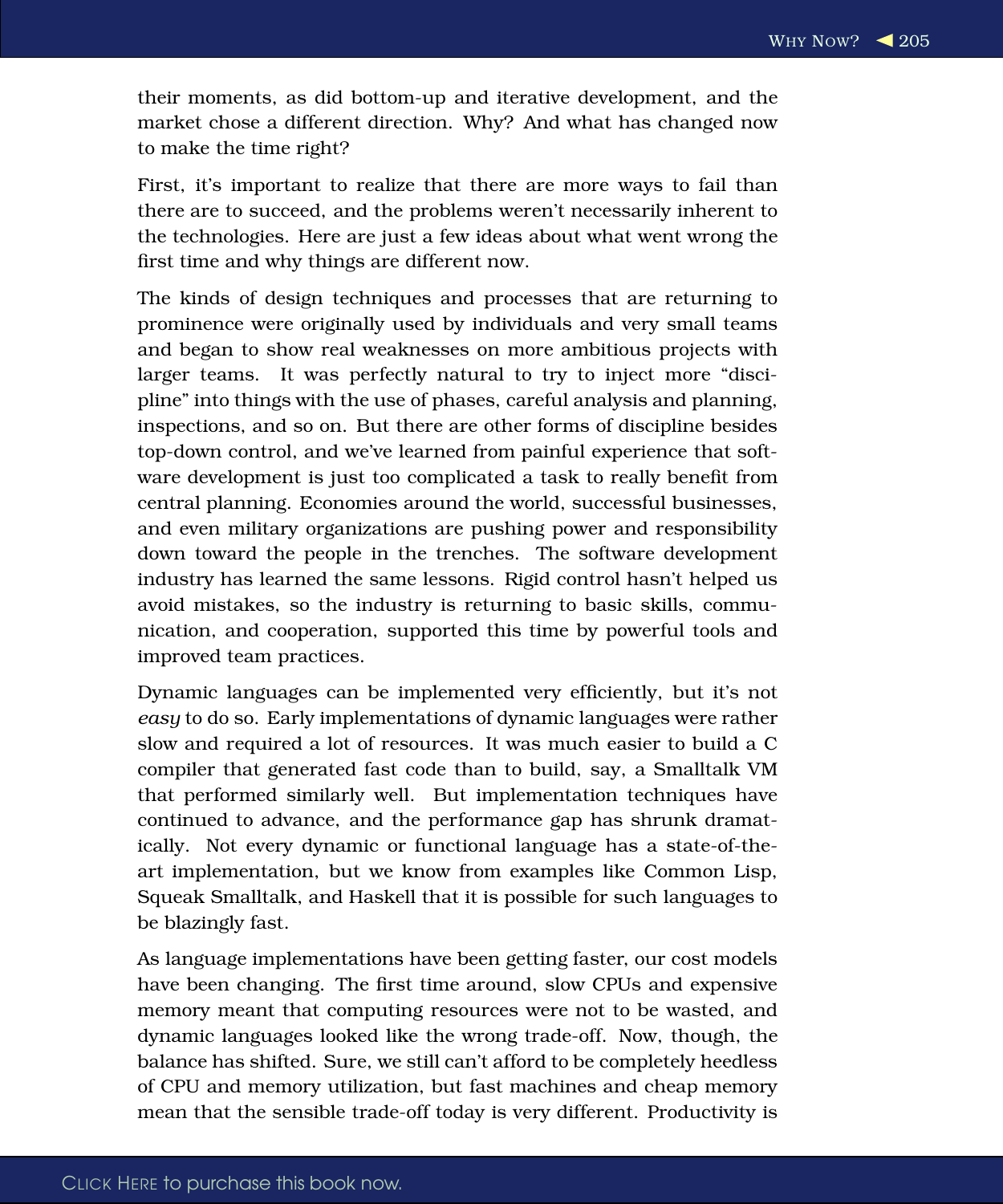their moments, as did bottom-up and iterative development, and the market chose a different direction. Why? And what has changed now to make the time right?

First, it's important to realize that there are more ways to fail than there are to succeed, and the problems weren't necessarily inherent to the technologies. Here are just a few ideas about what went wrong the first time and why things are different now.

The kinds of design techniques and processes that are returning to prominence were originally used by individuals and very small teams and began to show real weaknesses on more ambitious projects with larger teams. It was perfectly natural to try to inject more "discipline" into things with the use of phases, careful analysis and planning, inspections, and so on. But there are other forms of discipline besides top-down control, and we've learned from painful experience that software development is just too complicated a task to really benefit from central planning. Economies around the world, successful businesses, and even military organizations are pushing power and responsibility down toward the people in the trenches. The software development industry has learned the same lessons. Rigid control hasn't helped us avoid mistakes, so the industry is returning to basic skills, communication, and cooperation, supported this time by powerful tools and improved team practices.

Dynamic languages can be implemented very efficiently, but it's not *easy* to do so. Early implementations of dynamic languages were rather slow and required a lot of resources. It was much easier to build a C compiler that generated fast code than to build, say, a Smalltalk VM that performed similarly well. But implementation techniques have continued to advance, and the performance gap has shrunk dramatically. Not every dynamic or functional language has a state-of-theart implementation, but we know from examples like Common Lisp, Squeak Smalltalk, and Haskell that it is possible for such languages to be blazingly fast.

As language implementations have been getting faster, our cost models have been changing. The first time around, slow CPUs and expensive memory meant that computing resources were not to be wasted, and dynamic languages looked like the wrong trade-off. Now, though, the balance has shifted. Sure, we still can't afford to be completely heedless of CPU and memory utilization, but fast machines and cheap memory mean that the sensible trade-off today is very different. Productivity is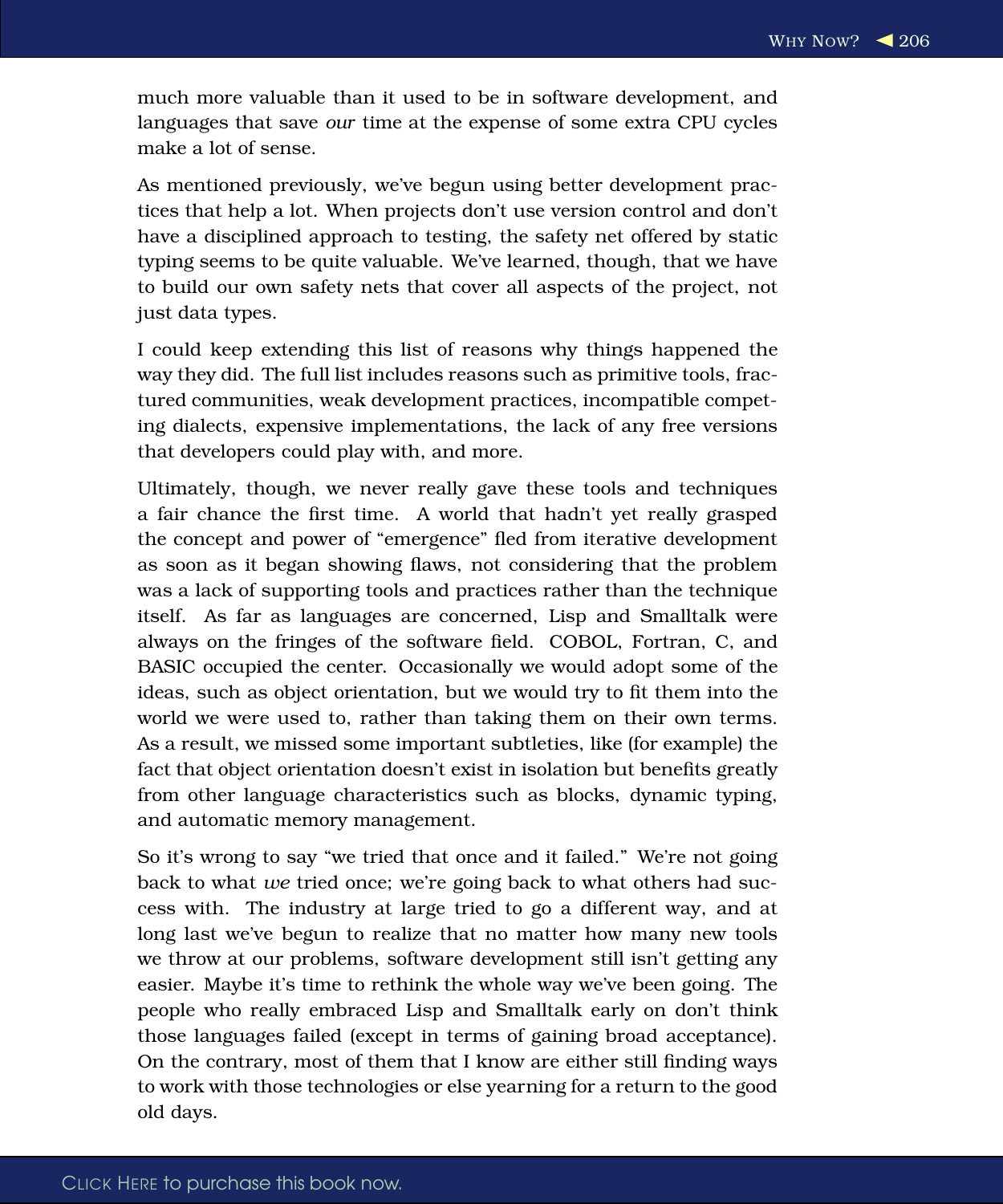much more valuable than it used to be in software development, and languages that save *our* time at the expense of some extra CPU cycles make a lot of sense.

As mentioned previously, we've begun using better development practices that help a lot. When projects don't use version control and don't have a disciplined approach to testing, the safety net offered by static typing seems to be quite valuable. We've learned, though, that we have to build our own safety nets that cover all aspects of the project, not just data types.

I could keep extending this list of reasons why things happened the way they did. The full list includes reasons such as primitive tools, fractured communities, weak development practices, incompatible competing dialects, expensive implementations, the lack of any free versions that developers could play with, and more.

Ultimately, though, we never really gave these tools and techniques a fair chance the first time. A world that hadn't yet really grasped the concept and power of "emergence" fled from iterative development as soon as it began showing flaws, not considering that the problem was a lack of supporting tools and practices rather than the technique itself. As far as languages are concerned, Lisp and Smalltalk were always on the fringes of the software field. COBOL, Fortran, C, and BASIC occupied the center. Occasionally we would adopt some of the ideas, such as object orientation, but we would try to fit them into the world we were used to, rather than taking them on their own terms. As a result, we missed some important subtleties, like (for example) the fact that object orientation doesn't exist in isolation but benefits greatly from other language characteristics such as blocks, dynamic typing, and automatic memory management.

So it's wrong to say "we tried that once and it failed." We're not going back to what *we* tried once; we're going back to what others had success with. The industry at large tried to go a different way, and at long last we've begun to realize that no matter how many new tools we throw at our problems, software development still isn't getting any easier. Maybe it's time to rethink the whole way we've been going. The people who really embraced Lisp and Smalltalk early on don't think those languages failed (except in terms of gaining broad acceptance). On the contrary, most of them that I know are either still finding ways to work with those technologies or else yearning for a return to the good old days.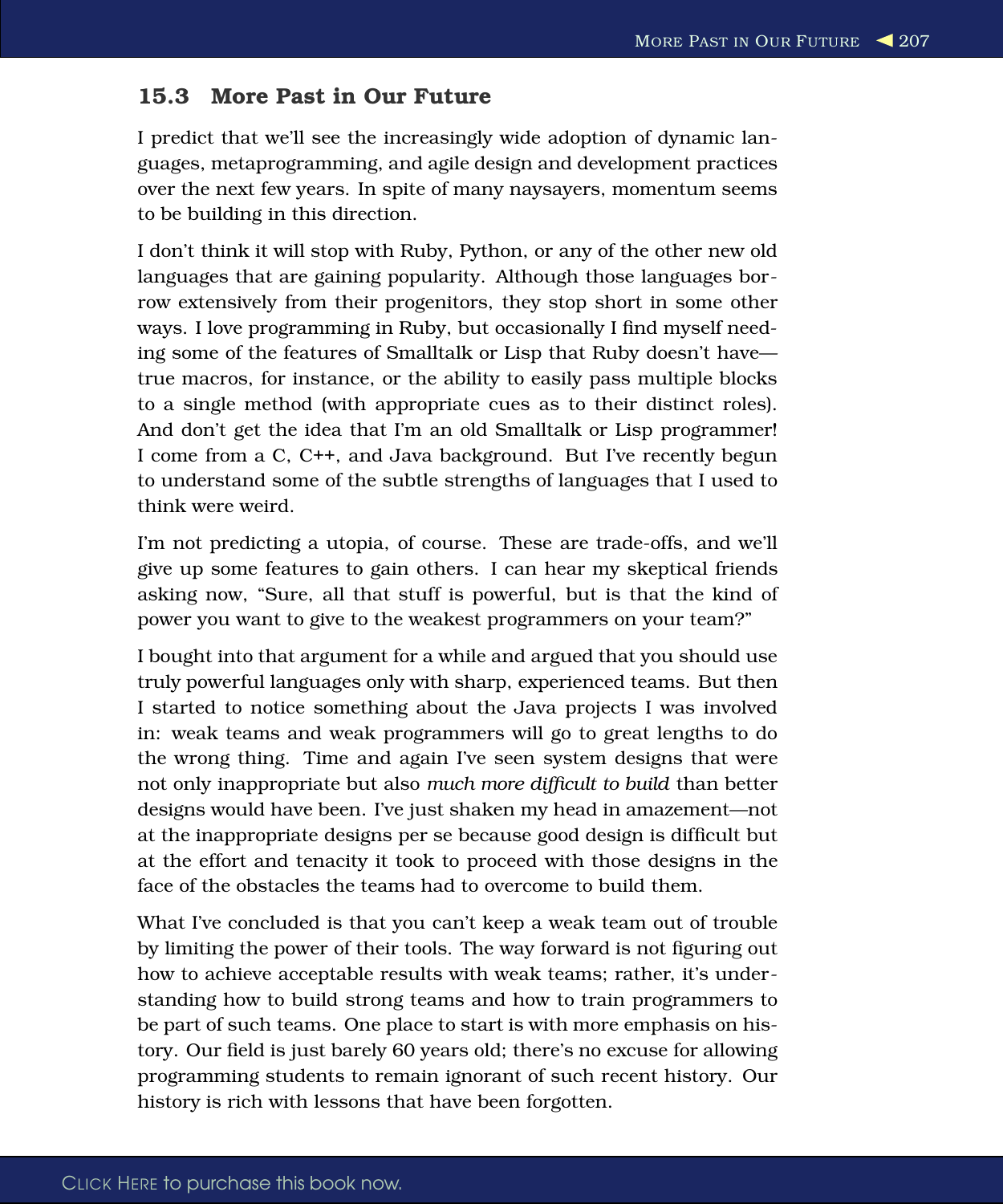#### **15.3 More Past in Our Future**

I predict that we'll see the increasingly wide adoption of dynamic languages, metaprogramming, and agile design and development practices over the next few years. In spite of many naysayers, momentum seems to be building in this direction.

I don't think it will stop with Ruby, Python, or any of the other new old languages that are gaining popularity. Although those languages borrow extensively from their progenitors, they stop short in some other ways. I love programming in Ruby, but occasionally I find myself needing some of the features of Smalltalk or Lisp that Ruby doesn't have true macros, for instance, or the ability to easily pass multiple blocks to a single method (with appropriate cues as to their distinct roles). And don't get the idea that I'm an old Smalltalk or Lisp programmer! I come from a C, C++, and Java background. But I've recently begun to understand some of the subtle strengths of languages that I used to think were weird.

I'm not predicting a utopia, of course. These are trade-offs, and we'll give up some features to gain others. I can hear my skeptical friends asking now, "Sure, all that stuff is powerful, but is that the kind of power you want to give to the weakest programmers on your team?"

I bought into that argument for a while and argued that you should use truly powerful languages only with sharp, experienced teams. But then I started to notice something about the Java projects I was involved in: weak teams and weak programmers will go to great lengths to do the wrong thing. Time and again I've seen system designs that were not only inappropriate but also *much more difficult to build* than better designs would have been. I've just shaken my head in amazement—not at the inappropriate designs per se because good design is difficult but at the effort and tenacity it took to proceed with those designs in the face of the obstacles the teams had to overcome to build them.

What I've concluded is that you can't keep a weak team out of trouble by limiting the power of their tools. The way forward is not figuring out how to achieve acceptable results with weak teams; rather, it's understanding how to build strong teams and how to train programmers to be part of such teams. One place to start is with more emphasis on history. Our field is just barely 60 years old; there's no excuse for allowing programming students to remain ignorant of such recent history. Our history is rich with lessons that have been forgotten.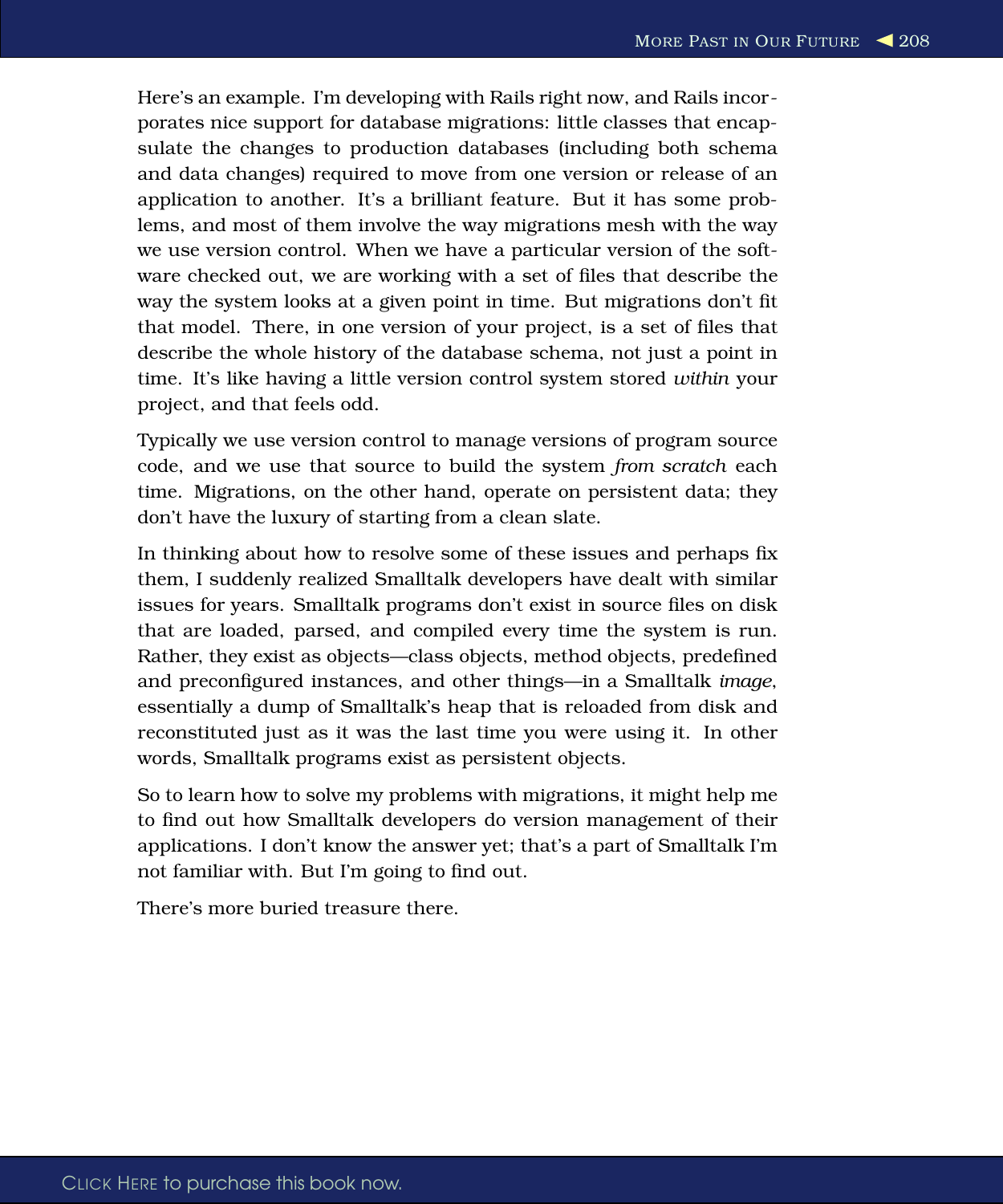Here's an example. I'm developing with Rails right now, and Rails incorporates nice support for database migrations: little classes that encapsulate the changes to production databases (including both schema and data changes) required to move from one version or release of an application to another. It's a brilliant feature. But it has some problems, and most of them involve the way migrations mesh with the way we use version control. When we have a particular version of the software checked out, we are working with a set of files that describe the way the system looks at a given point in time. But migrations don't fit that model. There, in one version of your project, is a set of files that describe the whole history of the database schema, not just a point in time. It's like having a little version control system stored *within* your project, and that feels odd.

Typically we use version control to manage versions of program source code, and we use that source to build the system *from scratch* each time. Migrations, on the other hand, operate on persistent data; they don't have the luxury of starting from a clean slate.

In thinking about how to resolve some of these issues and perhaps fix them, I suddenly realized Smalltalk developers have dealt with similar issues for years. Smalltalk programs don't exist in source files on disk that are loaded, parsed, and compiled every time the system is run. Rather, they exist as objects—class objects, method objects, predefined and preconfigured instances, and other things—in a Smalltalk *image*, essentially a dump of Smalltalk's heap that is reloaded from disk and reconstituted just as it was the last time you were using it. In other words, Smalltalk programs exist as persistent objects.

So to learn how to solve my problems with migrations, it might help me to find out how Smalltalk developers do version management of their applications. I don't know the answer yet; that's a part of Smalltalk I'm not familiar with. But I'm going to find out.

There's more buried treasure there.